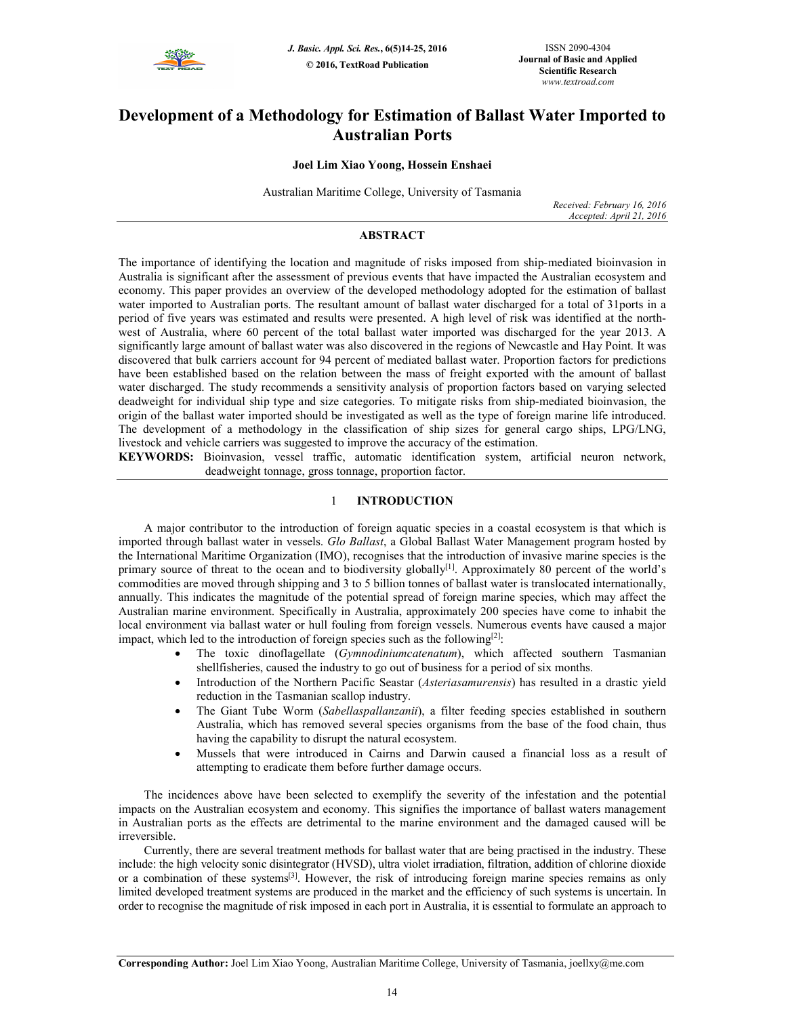

# **Development of a Methodology for Estimation of Ballast Water Imported to Australian Ports**

### **Joel Lim Xiao Yoong, Hossein Enshaei**

Australian Maritime College, University of Tasmania

*Received: February 16, 2016 Accepted: April 21, 2016*

### **ABSTRACT**

The importance of identifying the location and magnitude of risks imposed from ship-mediated bioinvasion in Australia is significant after the assessment of previous events that have impacted the Australian ecosystem and economy. This paper provides an overview of the developed methodology adopted for the estimation of ballast water imported to Australian ports. The resultant amount of ballast water discharged for a total of 31ports in a period of five years was estimated and results were presented. A high level of risk was identified at the northwest of Australia, where 60 percent of the total ballast water imported was discharged for the year 2013. A significantly large amount of ballast water was also discovered in the regions of Newcastle and Hay Point. It was discovered that bulk carriers account for 94 percent of mediated ballast water. Proportion factors for predictions have been established based on the relation between the mass of freight exported with the amount of ballast water discharged. The study recommends a sensitivity analysis of proportion factors based on varying selected deadweight for individual ship type and size categories. To mitigate risks from ship-mediated bioinvasion, the origin of the ballast water imported should be investigated as well as the type of foreign marine life introduced. The development of a methodology in the classification of ship sizes for general cargo ships, LPG/LNG, livestock and vehicle carriers was suggested to improve the accuracy of the estimation.

**KEYWORDS:** Bioinvasion, vessel traffic, automatic identification system, artificial neuron network, deadweight tonnage, gross tonnage, proportion factor.

### 1 **INTRODUCTION**

A major contributor to the introduction of foreign aquatic species in a coastal ecosystem is that which is imported through ballast water in vessels. *Glo Ballast*, a Global Ballast Water Management program hosted by the International Maritime Organization (IMO), recognises that the introduction of invasive marine species is the primary source of threat to the ocean and to biodiversity globally<sup>[1]</sup>. Approximately 80 percent of the world's commodities are moved through shipping and 3 to 5 billion tonnes of ballast water is translocated internationally, annually. This indicates the magnitude of the potential spread of foreign marine species, which may affect the Australian marine environment. Specifically in Australia, approximately 200 species have come to inhabit the local environment via ballast water or hull fouling from foreign vessels. Numerous events have caused a major impact, which led to the introduction of foreign species such as the following<sup>[2]</sup>:

- The toxic dinoflagellate (*Gymnodiniumcatenatum*), which affected southern Tasmanian shellfisheries, caused the industry to go out of business for a period of six months.
- Introduction of the Northern Pacific Seastar (*Asteriasamurensis*) has resulted in a drastic yield reduction in the Tasmanian scallop industry.
- The Giant Tube Worm (*Sabellaspallanzanii*), a filter feeding species established in southern Australia, which has removed several species organisms from the base of the food chain, thus having the capability to disrupt the natural ecosystem.
- Mussels that were introduced in Cairns and Darwin caused a financial loss as a result of attempting to eradicate them before further damage occurs.

The incidences above have been selected to exemplify the severity of the infestation and the potential impacts on the Australian ecosystem and economy. This signifies the importance of ballast waters management in Australian ports as the effects are detrimental to the marine environment and the damaged caused will be irreversible.

Currently, there are several treatment methods for ballast water that are being practised in the industry. These include: the high velocity sonic disintegrator (HVSD), ultra violet irradiation, filtration, addition of chlorine dioxide or a combination of these systems[3]. However, the risk of introducing foreign marine species remains as only limited developed treatment systems are produced in the market and the efficiency of such systems is uncertain. In order to recognise the magnitude of risk imposed in each port in Australia, it is essential to formulate an approach to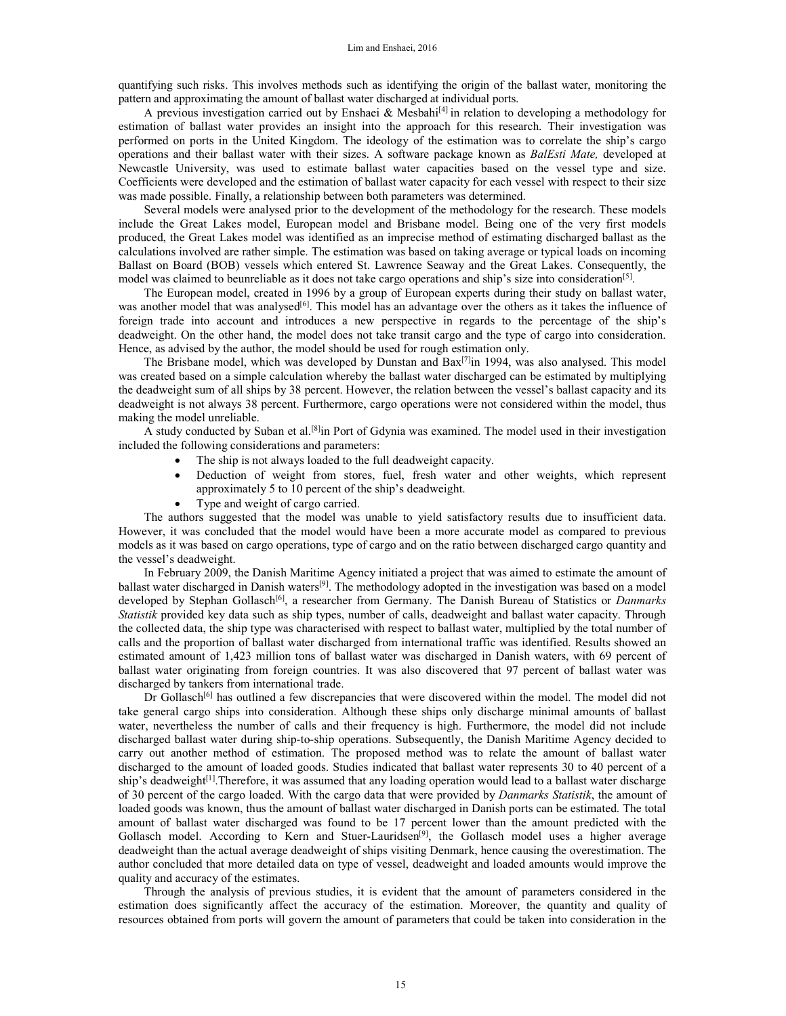quantifying such risks. This involves methods such as identifying the origin of the ballast water, monitoring the pattern and approximating the amount of ballast water discharged at individual ports.

A previous investigation carried out by Enshaei & Mesbahi<sup>[4]</sup> in relation to developing a methodology for estimation of ballast water provides an insight into the approach for this research. Their investigation was performed on ports in the United Kingdom. The ideology of the estimation was to correlate the ship's cargo operations and their ballast water with their sizes. A software package known as *BalEsti Mate,* developed at Newcastle University, was used to estimate ballast water capacities based on the vessel type and size. Coefficients were developed and the estimation of ballast water capacity for each vessel with respect to their size was made possible. Finally, a relationship between both parameters was determined.

Several models were analysed prior to the development of the methodology for the research. These models include the Great Lakes model, European model and Brisbane model. Being one of the very first models produced, the Great Lakes model was identified as an imprecise method of estimating discharged ballast as the calculations involved are rather simple. The estimation was based on taking average or typical loads on incoming Ballast on Board (BOB) vessels which entered St. Lawrence Seaway and the Great Lakes. Consequently, the model was claimed to beunreliable as it does not take cargo operations and ship's size into consideration<sup>[5]</sup>.

The European model, created in 1996 by a group of European experts during their study on ballast water, was another model that was analysed<sup>[6]</sup>. This model has an advantage over the others as it takes the influence of foreign trade into account and introduces a new perspective in regards to the percentage of the ship's deadweight. On the other hand, the model does not take transit cargo and the type of cargo into consideration. Hence, as advised by the author, the model should be used for rough estimation only.

The Brisbane model, which was developed by Dunstan and  $Bax^{[7]}$  1994, was also analysed. This model was created based on a simple calculation whereby the ballast water discharged can be estimated by multiplying the deadweight sum of all ships by 38 percent. However, the relation between the vessel's ballast capacity and its deadweight is not always 38 percent. Furthermore, cargo operations were not considered within the model, thus making the model unreliable.

A study conducted by Suban et al.[8]in Port of Gdynia was examined. The model used in their investigation included the following considerations and parameters:

- The ship is not always loaded to the full deadweight capacity.
- Deduction of weight from stores, fuel, fresh water and other weights, which represent approximately 5 to 10 percent of the ship's deadweight.
- Type and weight of cargo carried.

The authors suggested that the model was unable to yield satisfactory results due to insufficient data. However, it was concluded that the model would have been a more accurate model as compared to previous models as it was based on cargo operations, type of cargo and on the ratio between discharged cargo quantity and the vessel's deadweight.

In February 2009, the Danish Maritime Agency initiated a project that was aimed to estimate the amount of ballast water discharged in Danish waters<sup>[9]</sup>. The methodology adopted in the investigation was based on a model developed by Stephan Gollasch<sup>[6]</sup>, a researcher from Germany. The Danish Bureau of Statistics or *Danmarks Statistik* provided key data such as ship types, number of calls, deadweight and ballast water capacity. Through the collected data, the ship type was characterised with respect to ballast water, multiplied by the total number of calls and the proportion of ballast water discharged from international traffic was identified. Results showed an estimated amount of 1,423 million tons of ballast water was discharged in Danish waters, with 69 percent of ballast water originating from foreign countries. It was also discovered that 97 percent of ballast water was discharged by tankers from international trade.

Dr Gollasch<sup>[6]</sup> has outlined a few discrepancies that were discovered within the model. The model did not take general cargo ships into consideration. Although these ships only discharge minimal amounts of ballast water, nevertheless the number of calls and their frequency is high. Furthermore, the model did not include discharged ballast water during ship-to-ship operations. Subsequently, the Danish Maritime Agency decided to carry out another method of estimation. The proposed method was to relate the amount of ballast water discharged to the amount of loaded goods. Studies indicated that ballast water represents 30 to 40 percent of a ship's deadweight<sup>[1]</sup>. Therefore, it was assumed that any loading operation would lead to a ballast water discharge of 30 percent of the cargo loaded. With the cargo data that were provided by *Danmarks Statistik*, the amount of loaded goods was known, thus the amount of ballast water discharged in Danish ports can be estimated. The total amount of ballast water discharged was found to be 17 percent lower than the amount predicted with the Gollasch model. According to Kern and Stuer-Lauridsen<sup>[9]</sup>, the Gollasch model uses a higher average deadweight than the actual average deadweight of ships visiting Denmark, hence causing the overestimation. The author concluded that more detailed data on type of vessel, deadweight and loaded amounts would improve the quality and accuracy of the estimates.

Through the analysis of previous studies, it is evident that the amount of parameters considered in the estimation does significantly affect the accuracy of the estimation. Moreover, the quantity and quality of resources obtained from ports will govern the amount of parameters that could be taken into consideration in the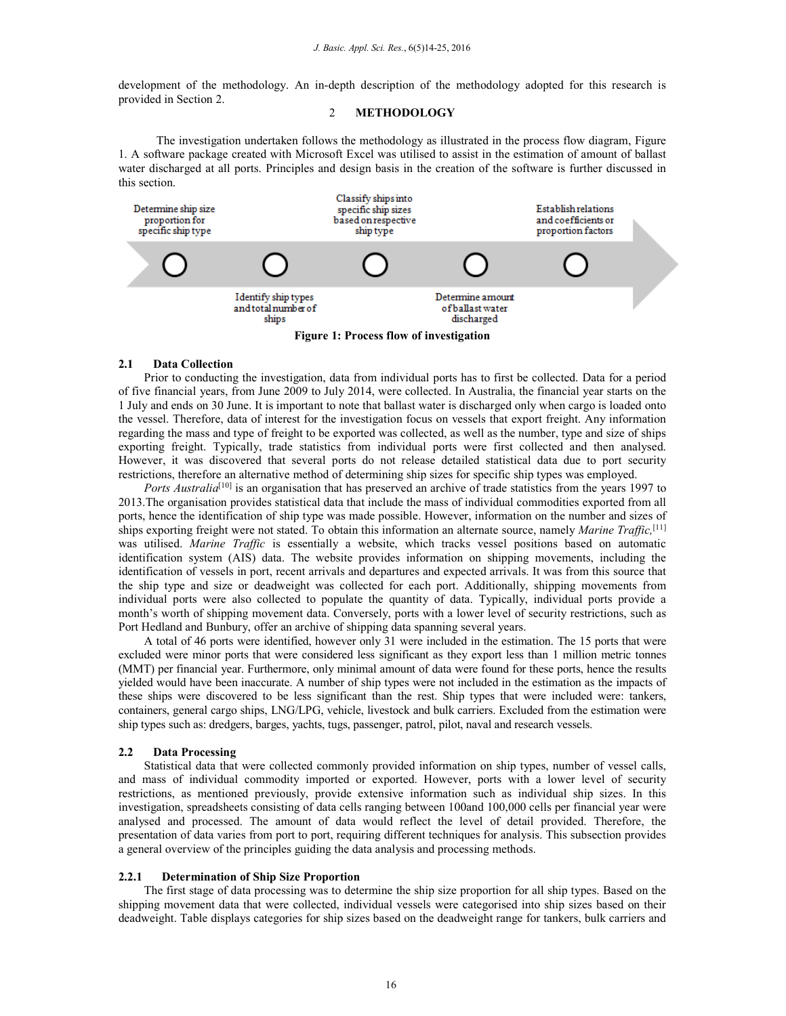development of the methodology. An in-depth description of the methodology adopted for this research is provided in Section 2.

## 2 **METHODOLOGY**

The investigation undertaken follows the methodology as illustrated in the process flow diagram, Figure 1. A software package created with Microsoft Excel was utilised to assist in the estimation of amount of ballast water discharged at all ports. Principles and design basis in the creation of the software is further discussed in this section.



**Figure 1: Process flow of investigation** 

#### **2.1 Data Collection**

Prior to conducting the investigation, data from individual ports has to first be collected. Data for a period of five financial years, from June 2009 to July 2014, were collected. In Australia, the financial year starts on the 1 July and ends on 30 June. It is important to note that ballast water is discharged only when cargo is loaded onto the vessel. Therefore, data of interest for the investigation focus on vessels that export freight. Any information regarding the mass and type of freight to be exported was collected, as well as the number, type and size of ships exporting freight. Typically, trade statistics from individual ports were first collected and then analysed. However, it was discovered that several ports do not release detailed statistical data due to port security restrictions, therefore an alternative method of determining ship sizes for specific ship types was employed.

*Ports Australia*<sup>[10]</sup> is an organisation that has preserved an archive of trade statistics from the years 1997 to 2013.The organisation provides statistical data that include the mass of individual commodities exported from all ports, hence the identification of ship type was made possible. However, information on the number and sizes of ships exporting freight were not stated. To obtain this information an alternate source, namely *Marine Traffic,*[11] was utilised. *Marine Traffic* is essentially a website, which tracks vessel positions based on automatic identification system (AIS) data. The website provides information on shipping movements, including the identification of vessels in port, recent arrivals and departures and expected arrivals. It was from this source that the ship type and size or deadweight was collected for each port. Additionally, shipping movements from individual ports were also collected to populate the quantity of data. Typically, individual ports provide a month's worth of shipping movement data. Conversely, ports with a lower level of security restrictions, such as Port Hedland and Bunbury, offer an archive of shipping data spanning several years.

A total of 46 ports were identified, however only 31 were included in the estimation. The 15 ports that were excluded were minor ports that were considered less significant as they export less than 1 million metric tonnes (MMT) per financial year. Furthermore, only minimal amount of data were found for these ports, hence the results yielded would have been inaccurate. A number of ship types were not included in the estimation as the impacts of these ships were discovered to be less significant than the rest. Ship types that were included were: tankers, containers, general cargo ships, LNG/LPG, vehicle, livestock and bulk carriers. Excluded from the estimation were ship types such as: dredgers, barges, yachts, tugs, passenger, patrol, pilot, naval and research vessels.

#### **2.2 Data Processing**

Statistical data that were collected commonly provided information on ship types, number of vessel calls, and mass of individual commodity imported or exported. However, ports with a lower level of security restrictions, as mentioned previously, provide extensive information such as individual ship sizes. In this investigation, spreadsheets consisting of data cells ranging between 100and 100,000 cells per financial year were analysed and processed. The amount of data would reflect the level of detail provided. Therefore, the presentation of data varies from port to port, requiring different techniques for analysis. This subsection provides a general overview of the principles guiding the data analysis and processing methods.

### **2.2.1 Determination of Ship Size Proportion**

The first stage of data processing was to determine the ship size proportion for all ship types. Based on the shipping movement data that were collected, individual vessels were categorised into ship sizes based on their deadweight. Table displays categories for ship sizes based on the deadweight range for tankers, bulk carriers and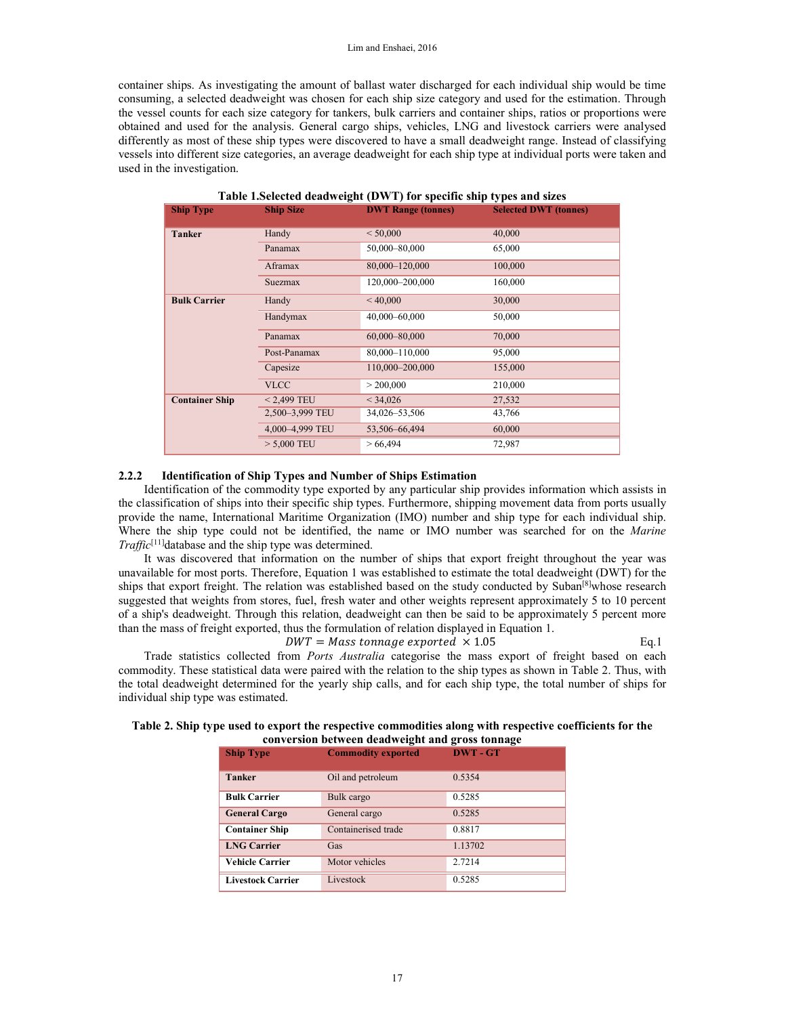container ships. As investigating the amount of ballast water discharged for each individual ship would be time consuming, a selected deadweight was chosen for each ship size category and used for the estimation. Through the vessel counts for each size category for tankers, bulk carriers and container ships, ratios or proportions were obtained and used for the analysis. General cargo ships, vehicles, LNG and livestock carriers were analysed differently as most of these ship types were discovered to have a small deadweight range. Instead of classifying vessels into different size categories, an average deadweight for each ship type at individual ports were taken and used in the investigation.

| <b>Ship Type</b>      | <b>Ship Size</b> | <b>DWT Range (tonnes)</b> | <b>Selected DWT (tonnes)</b> |
|-----------------------|------------------|---------------------------|------------------------------|
| <b>Tanker</b>         | Handy            | < 50,000                  | 40,000                       |
|                       | Panamax          | 50,000-80,000             | 65,000                       |
|                       | Aframax          | 80,000-120,000            | 100,000                      |
|                       | Suezmax          | 120,000-200,000           | 160,000                      |
| <b>Bulk Carrier</b>   | Handy            | < 40,000                  | 30,000                       |
|                       | Handymax         | 40,000-60,000             | 50,000                       |
|                       | Panamax          | 60,000-80,000             | 70,000                       |
|                       | Post-Panamax     | 80,000-110,000            | 95,000                       |
|                       | Capesize         | 110,000-200,000           | 155,000                      |
|                       | <b>VLCC</b>      | > 200,000                 | 210,000                      |
| <b>Container Ship</b> | $< 2,499$ TEU    | < 34,026                  | 27,532                       |
|                       | 2,500-3,999 TEU  | 34,026-53,506             | 43,766                       |
|                       | 4,000-4,999 TEU  | 53,506-66,494             | 60,000                       |
|                       | $> 5,000$ TEU    | >66,494                   | 72,987                       |

| Table 1. Selected deadweight (DWT) for specific ship types and sizes |  |  |
|----------------------------------------------------------------------|--|--|
|                                                                      |  |  |

#### **2.2.2 Identification of Ship Types and Number of Ships Estimation**

Identification of the commodity type exported by any particular ship provides information which assists in the classification of ships into their specific ship types. Furthermore, shipping movement data from ports usually provide the name, International Maritime Organization (IMO) number and ship type for each individual ship. Where the ship type could not be identified, the name or IMO number was searched for on the *Marine Traffic*<sup>[11]</sup>database and the ship type was determined.

It was discovered that information on the number of ships that export freight throughout the year was unavailable for most ports. Therefore, Equation 1 was established to estimate the total deadweight (DWT) for the ships that export freight. The relation was established based on the study conducted by Suban<sup>[8]</sup>whose research suggested that weights from stores, fuel, fresh water and other weights represent approximately 5 to 10 percent of a ship's deadweight. Through this relation, deadweight can then be said to be approximately 5 percent more than the mass of freight exported, thus the formulation of relation displayed in Equation 1.

 $DWT = Mass \, tonnage \, expected \, \times 1.05$  Eq.1 Trade statistics collected from *Ports Australia* categorise the mass export of freight based on each commodity. These statistical data were paired with the relation to the ship types as shown in Table 2. Thus, with the total deadweight determined for the yearly ship calls, and for each ship type, the total number of ships for individual ship type was estimated.

| conversion securem acuavientum and his costoming c |                           |               |
|----------------------------------------------------|---------------------------|---------------|
| <b>Ship Type</b>                                   | <b>Commodity exported</b> | <b>DWT-GT</b> |
| <b>Tanker</b>                                      | Oil and petroleum         | 0.5354        |
| <b>Bulk Carrier</b>                                | Bulk cargo                | 0.5285        |
| <b>General Cargo</b>                               | General cargo             | 0.5285        |
| <b>Container Ship</b>                              | Containerised trade       | 0.8817        |
| <b>LNG Carrier</b>                                 | Gas                       | 1.13702       |
| <b>Vehicle Carrier</b>                             | Motor vehicles            | 2.7214        |
| <b>Livestock Carrier</b>                           | Livestock                 | 0.5285        |

#### **Table 2. Ship type used to export the respective commodities along with respective coefficients for the conversion between deadweight and gross tonnage**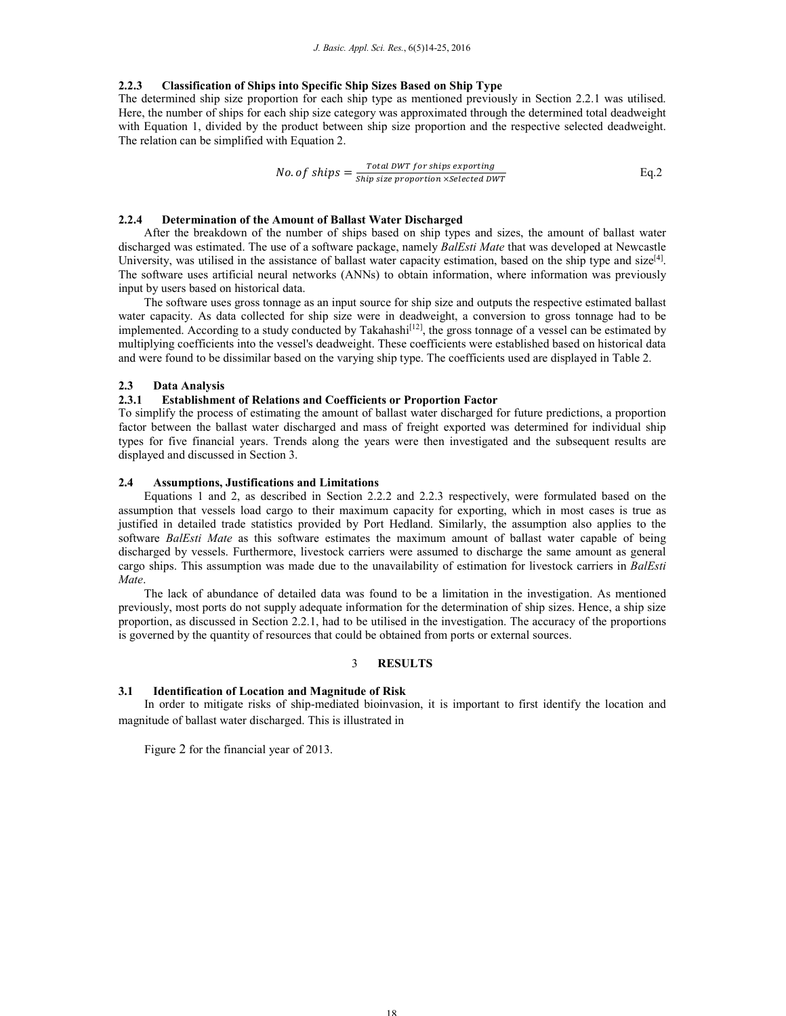### **2.2.3 Classification of Ships into Specific Ship Sizes Based on Ship Type**

The determined ship size proportion for each ship type as mentioned previously in Section 2.2.1 was utilised. Here, the number of ships for each ship size category was approximated through the determined total deadweight with Equation 1, divided by the product between ship size proportion and the respective selected deadweight. The relation can be simplified with Equation 2.

No. of ships = 
$$
\frac{Total DWT for ships exporting}{Ship size proportion \times Selected DWT}
$$
 Eq.2

### **2.2.4 Determination of the Amount of Ballast Water Discharged**

After the breakdown of the number of ships based on ship types and sizes, the amount of ballast water discharged was estimated. The use of a software package, namely *BalEsti Mate* that was developed at Newcastle University, was utilised in the assistance of ballast water capacity estimation, based on the ship type and  $size^{[4]}$ . The software uses artificial neural networks (ANNs) to obtain information, where information was previously input by users based on historical data.

The software uses gross tonnage as an input source for ship size and outputs the respective estimated ballast water capacity. As data collected for ship size were in deadweight, a conversion to gross tonnage had to be implemented. According to a study conducted by Takahashi<sup>[12]</sup>, the gross tonnage of a vessel can be estimated by multiplying coefficients into the vessel's deadweight. These coefficients were established based on historical data and were found to be dissimilar based on the varying ship type. The coefficients used are displayed in Table 2.

### **2.3 Data Analysis**

### **2.3.1 Establishment of Relations and Coefficients or Proportion Factor**

To simplify the process of estimating the amount of ballast water discharged for future predictions, a proportion factor between the ballast water discharged and mass of freight exported was determined for individual ship types for five financial years. Trends along the years were then investigated and the subsequent results are displayed and discussed in Section 3.

### **2.4 Assumptions, Justifications and Limitations**

Equations 1 and 2, as described in Section 2.2.2 and 2.2.3 respectively, were formulated based on the assumption that vessels load cargo to their maximum capacity for exporting, which in most cases is true as justified in detailed trade statistics provided by Port Hedland. Similarly, the assumption also applies to the software *BalEsti Mate* as this software estimates the maximum amount of ballast water capable of being discharged by vessels. Furthermore, livestock carriers were assumed to discharge the same amount as general cargo ships. This assumption was made due to the unavailability of estimation for livestock carriers in *BalEsti Mate*.

The lack of abundance of detailed data was found to be a limitation in the investigation. As mentioned previously, most ports do not supply adequate information for the determination of ship sizes. Hence, a ship size proportion, as discussed in Section 2.2.1, had to be utilised in the investigation. The accuracy of the proportions is governed by the quantity of resources that could be obtained from ports or external sources.

### 3 **RESULTS**

### **3.1 Identification of Location and Magnitude of Risk**

In order to mitigate risks of ship-mediated bioinvasion, it is important to first identify the location and magnitude of ballast water discharged. This is illustrated in

Figure 2 for the financial year of 2013.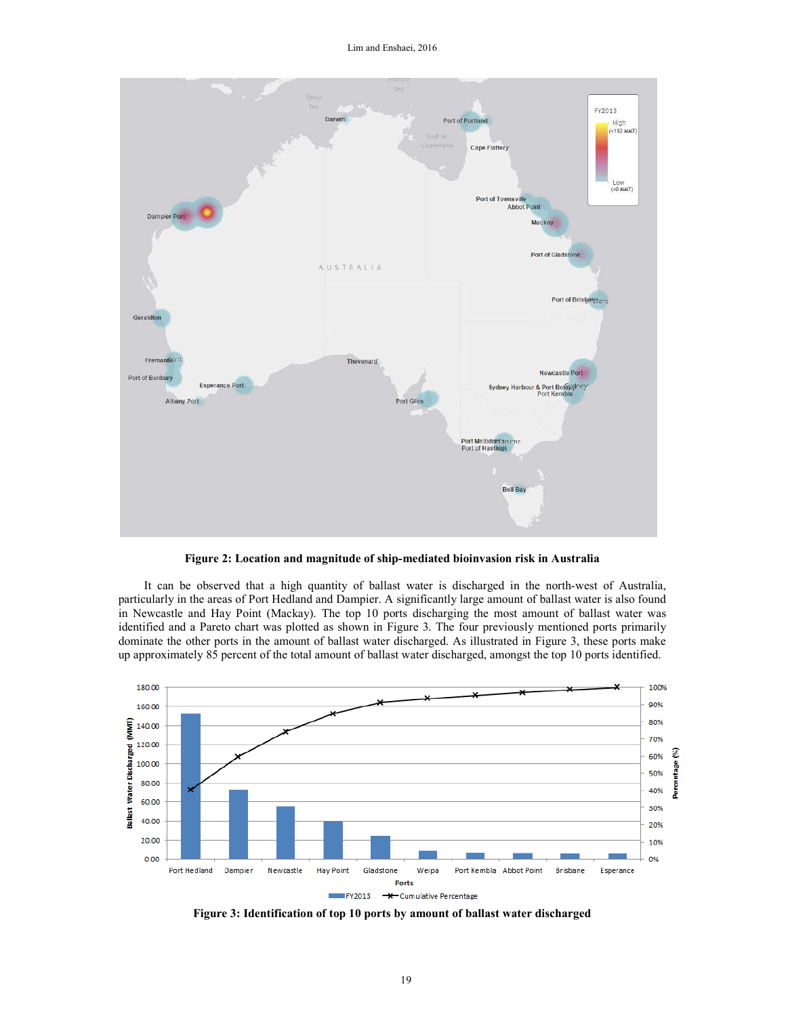

**Figure 2: Location and magnitude of ship-mediated bioinvasion risk in Australia** 

It can be observed that a high quantity of ballast water is discharged in the north-west of Australia, particularly in the areas of Port Hedland and Dampier. A significantly large amount of ballast water is also found in Newcastle and Hay Point (Mackay). The top 10 ports discharging the most amount of ballast water was identified and a Pareto chart was plotted as shown in Figure 3. The four previously mentioned ports primarily dominate the other ports in the amount of ballast water discharged. As illustrated in Figure 3, these ports make up approximately 85 percent of the total amount of ballast water discharged, amongst the top 10 ports identified.



**Figure 3: Identification of top 10 ports by amount of ballast water discharged**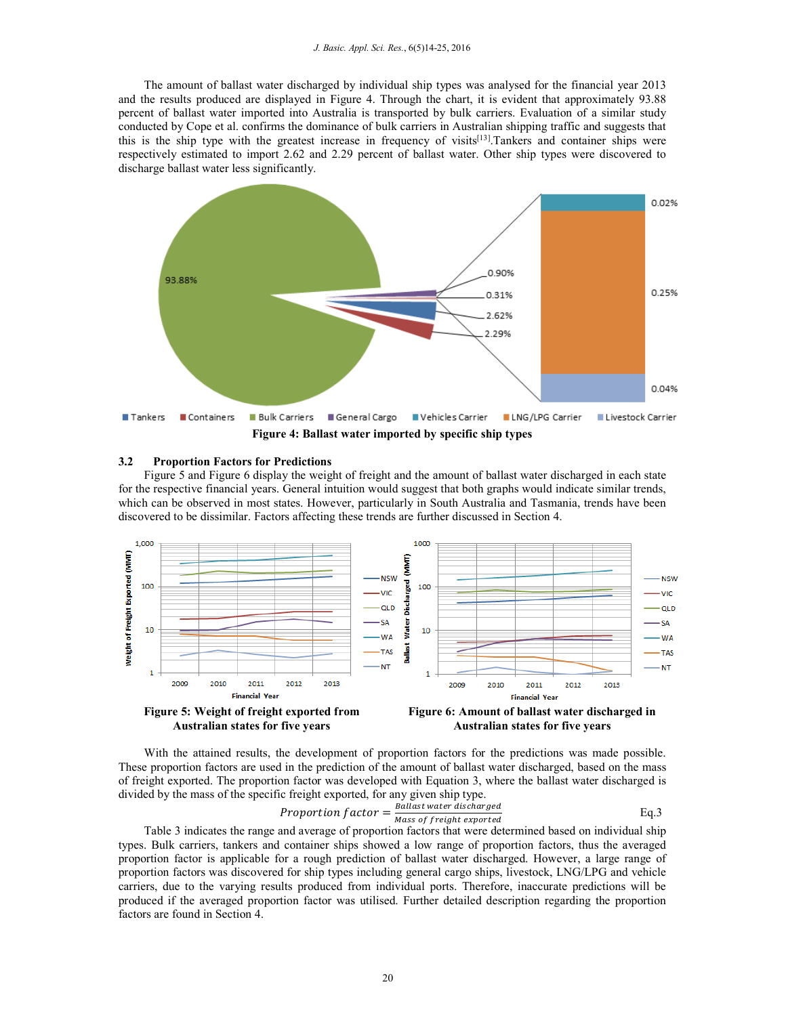The amount of ballast water discharged by individual ship types was analysed for the financial year 2013 and the results produced are displayed in Figure 4. Through the chart, it is evident that approximately 93.88 percent of ballast water imported into Australia is transported by bulk carriers. Evaluation of a similar study conducted by Cope et al. confirms the dominance of bulk carriers in Australian shipping traffic and suggests that this is the ship type with the greatest increase in frequency of visits[13].Tankers and container ships were respectively estimated to import 2.62 and 2.29 percent of ballast water. Other ship types were discovered to discharge ballast water less significantly.



#### **3.2 Proportion Factors for Predictions**

Figure 5 and Figure 6 display the weight of freight and the amount of ballast water discharged in each state for the respective financial years. General intuition would suggest that both graphs would indicate similar trends, which can be observed in most states. However, particularly in South Australia and Tasmania, trends have been discovered to be dissimilar. Factors affecting these trends are further discussed in Section 4.



With the attained results, the development of proportion factors for the predictions was made possible. These proportion factors are used in the prediction of the amount of ballast water discharged, based on the mass of freight exported. The proportion factor was developed with Equation 3, where the ballast water discharged is divided by the mass of the specific freight exported, for any given ship type.

$$
Proportion factor = \frac{Ballast water\,\,discharged}{Mass\,\,of\,\,freight\,\,exported}
$$

Table 3 indicates the range and average of proportion factors that were determined based on individual ship types. Bulk carriers, tankers and container ships showed a low range of proportion factors, thus the averaged proportion factor is applicable for a rough prediction of ballast water discharged. However, a large range of proportion factors was discovered for ship types including general cargo ships, livestock, LNG/LPG and vehicle carriers, due to the varying results produced from individual ports. Therefore, inaccurate predictions will be produced if the averaged proportion factor was utilised. Further detailed description regarding the proportion factors are found in Section 4.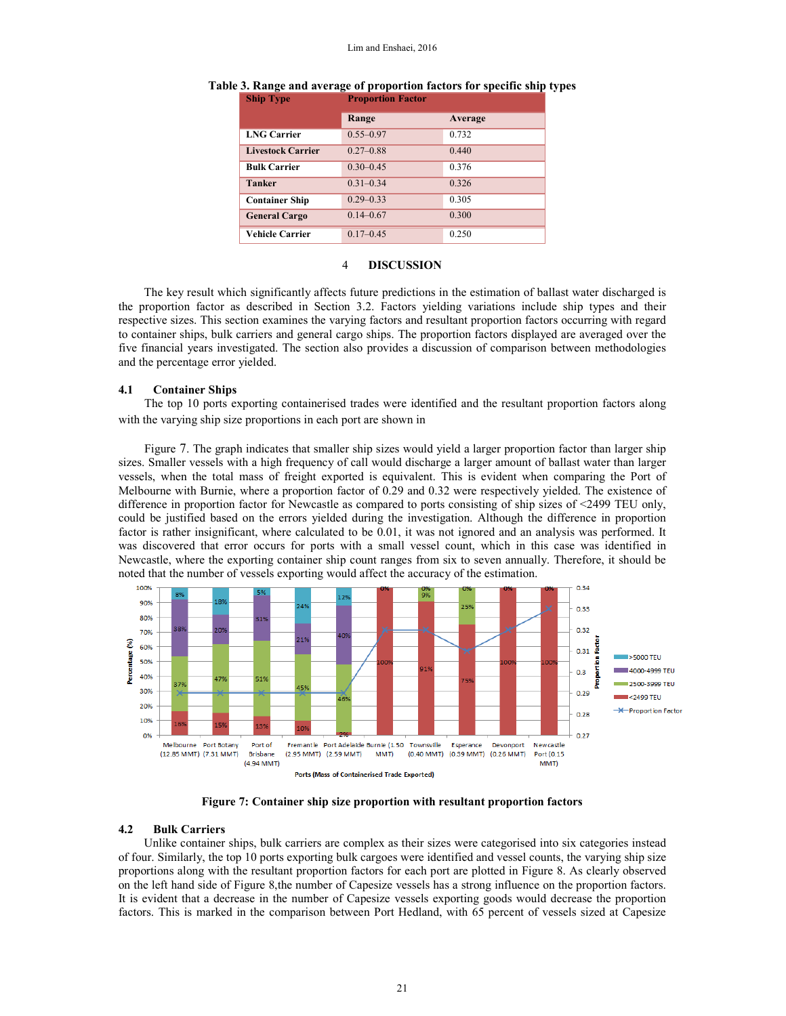|                          | Range         | Average |  |
|--------------------------|---------------|---------|--|
| <b>LNG Carrier</b>       | $0.55 - 0.97$ | 0.732   |  |
| <b>Livestock Carrier</b> | $0.27 - 0.88$ | 0.440   |  |
| <b>Bulk Carrier</b>      | $0.30 - 0.45$ | 0.376   |  |
| <b>Tanker</b>            | $0.31 - 0.34$ | 0.326   |  |
| <b>Container Ship</b>    | $0.29 - 0.33$ | 0.305   |  |
| <b>General Cargo</b>     | $0.14 - 0.67$ | 0.300   |  |
| <b>Vehicle Carrier</b>   | $0.17 - 0.45$ | 0.250   |  |

#### **Table 3. Range and average of proportion factors for specific ship types Proportion Factor**

#### 4 **DISCUSSION**

The key result which significantly affects future predictions in the estimation of ballast water discharged is the proportion factor as described in Section 3.2. Factors yielding variations include ship types and their respective sizes. This section examines the varying factors and resultant proportion factors occurring with regard to container ships, bulk carriers and general cargo ships. The proportion factors displayed are averaged over the five financial years investigated. The section also provides a discussion of comparison between methodologies and the percentage error yielded.

### **4.1 Container Ships**

The top 10 ports exporting containerised trades were identified and the resultant proportion factors along with the varying ship size proportions in each port are shown in

Figure 7. The graph indicates that smaller ship sizes would yield a larger proportion factor than larger ship sizes. Smaller vessels with a high frequency of call would discharge a larger amount of ballast water than larger vessels, when the total mass of freight exported is equivalent. This is evident when comparing the Port of Melbourne with Burnie, where a proportion factor of 0.29 and 0.32 were respectively yielded. The existence of difference in proportion factor for Newcastle as compared to ports consisting of ship sizes of <2499 TEU only, could be justified based on the errors yielded during the investigation. Although the difference in proportion factor is rather insignificant, where calculated to be 0.01, it was not ignored and an analysis was performed. It was discovered that error occurs for ports with a small vessel count, which in this case was identified in Newcastle, where the exporting container ship count ranges from six to seven annually. Therefore, it should be noted that the number of vessels exporting would affect the accuracy of the estimation.



**Figure 7: Container ship size proportion with resultant proportion factors** 

#### **4.2 Bulk Carriers**

Unlike container ships, bulk carriers are complex as their sizes were categorised into six categories instead of four. Similarly, the top 10 ports exporting bulk cargoes were identified and vessel counts, the varying ship size proportions along with the resultant proportion factors for each port are plotted in Figure 8. As clearly observed on the left hand side of Figure 8,the number of Capesize vessels has a strong influence on the proportion factors. It is evident that a decrease in the number of Capesize vessels exporting goods would decrease the proportion factors. This is marked in the comparison between Port Hedland, with 65 percent of vessels sized at Capesize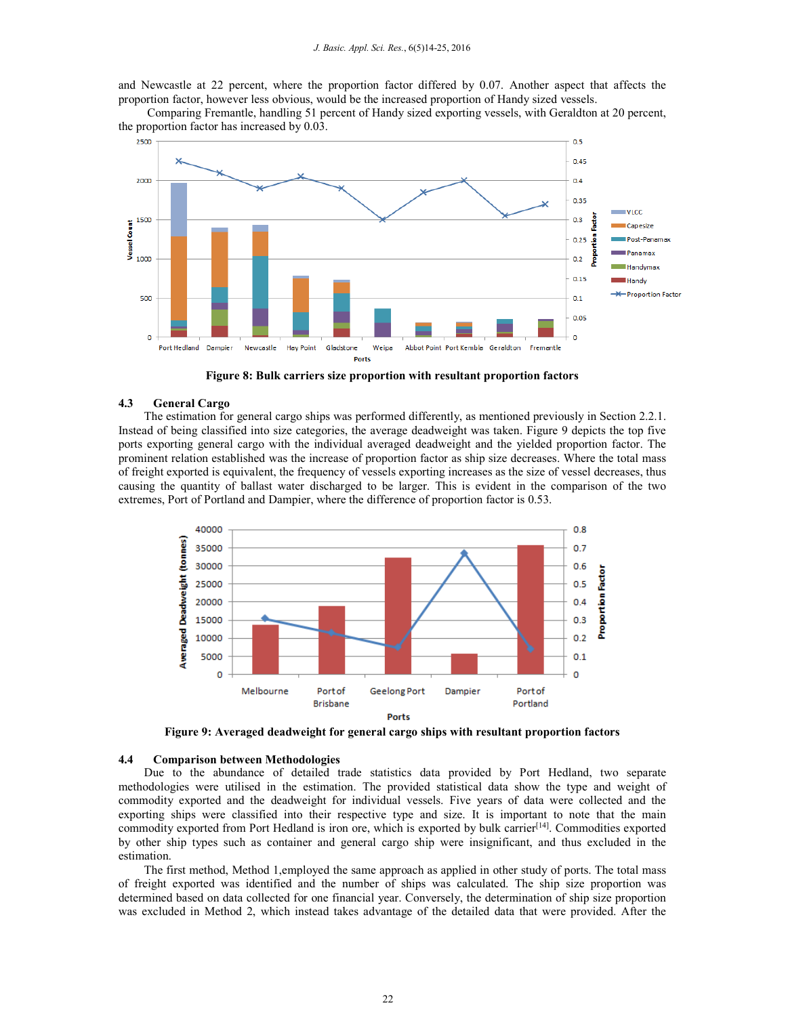and Newcastle at 22 percent, where the proportion factor differed by 0.07. Another aspect that affects the proportion factor, however less obvious, would be the increased proportion of Handy sized vessels.

 Comparing Fremantle, handling 51 percent of Handy sized exporting vessels, with Geraldton at 20 percent, the proportion factor has increased by 0.03.



**Figure 8: Bulk carriers size proportion with resultant proportion factors** 

### **4.3 General Cargo**

The estimation for general cargo ships was performed differently, as mentioned previously in Section 2.2.1. Instead of being classified into size categories, the average deadweight was taken. Figure 9 depicts the top five ports exporting general cargo with the individual averaged deadweight and the yielded proportion factor. The prominent relation established was the increase of proportion factor as ship size decreases. Where the total mass of freight exported is equivalent, the frequency of vessels exporting increases as the size of vessel decreases, thus causing the quantity of ballast water discharged to be larger. This is evident in the comparison of the two extremes, Port of Portland and Dampier, where the difference of proportion factor is 0.53.



**Figure 9: Averaged deadweight for general cargo ships with resultant proportion factors** 

#### **4.4 Comparison between Methodologies**

Due to the abundance of detailed trade statistics data provided by Port Hedland, two separate methodologies were utilised in the estimation. The provided statistical data show the type and weight of commodity exported and the deadweight for individual vessels. Five years of data were collected and the exporting ships were classified into their respective type and size. It is important to note that the main commodity exported from Port Hedland is iron ore, which is exported by bulk carrier<sup>[14]</sup>. Commodities exported by other ship types such as container and general cargo ship were insignificant, and thus excluded in the estimation.

The first method, Method 1,employed the same approach as applied in other study of ports. The total mass of freight exported was identified and the number of ships was calculated. The ship size proportion was determined based on data collected for one financial year. Conversely, the determination of ship size proportion was excluded in Method 2, which instead takes advantage of the detailed data that were provided. After the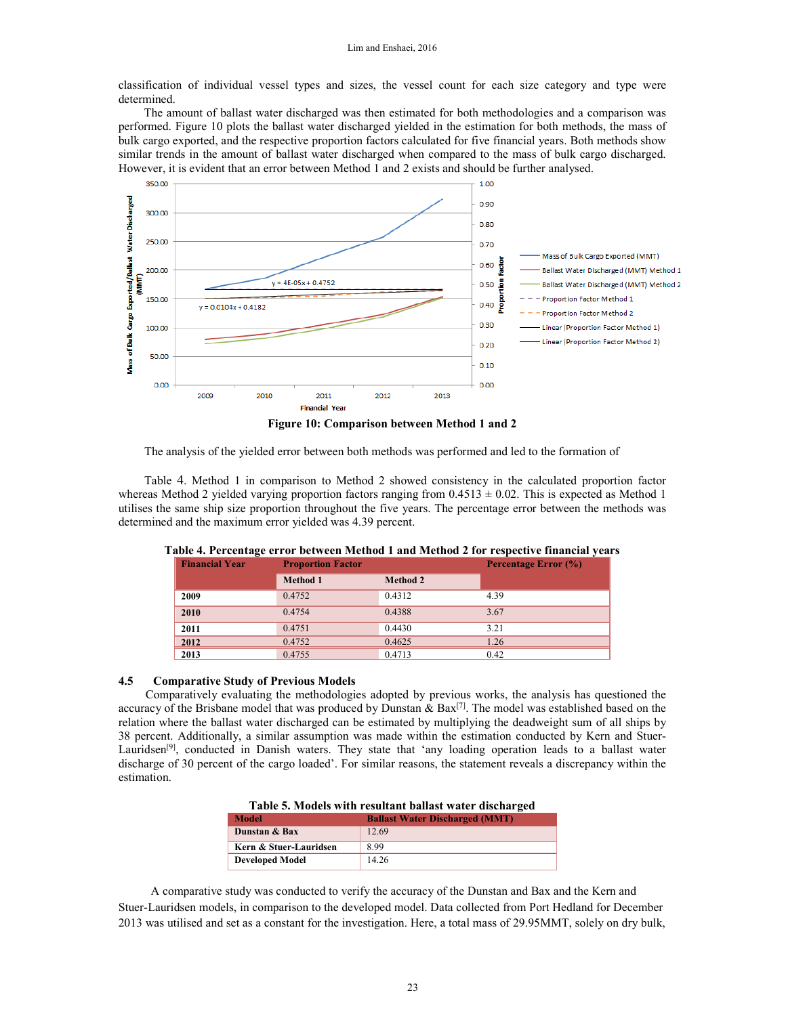classification of individual vessel types and sizes, the vessel count for each size category and type were determined.

The amount of ballast water discharged was then estimated for both methodologies and a comparison was performed. Figure 10 plots the ballast water discharged yielded in the estimation for both methods, the mass of bulk cargo exported, and the respective proportion factors calculated for five financial years. Both methods show similar trends in the amount of ballast water discharged when compared to the mass of bulk cargo discharged. However, it is evident that an error between Method 1 and 2 exists and should be further analysed.



**Figure 10: Comparison between Method 1 and 2** 

The analysis of the yielded error between both methods was performed and led to the formation of

Table 4. Method 1 in comparison to Method 2 showed consistency in the calculated proportion factor whereas Method 2 yielded varying proportion factors ranging from  $0.4513 \pm 0.02$ . This is expected as Method 1 utilises the same ship size proportion throughout the five years. The percentage error between the methods was determined and the maximum error yielded was 4.39 percent.

| <b>Financial Year</b> | <b>Proportion Factor</b> |                 | Percentage Error (%) |
|-----------------------|--------------------------|-----------------|----------------------|
|                       | <b>Method 1</b>          | <b>Method 2</b> |                      |
| 2009                  | 0.4752                   | 0.4312          | 4.39                 |
| 2010                  | 0.4754                   | 0.4388          | 3.67                 |
| 2011                  | 0.4751                   | 0.4430          | 3.21                 |
| 2012                  | 0.4752                   | 0.4625          | 1.26                 |
| 2013                  | 0.4755                   | 0.4713          | 0.42                 |

**Table 4. Percentage error between Method 1 and Method 2 for respective financial years** 

### **4.5 Comparative Study of Previous Models**

Comparatively evaluating the methodologies adopted by previous works, the analysis has questioned the accuracy of the Brisbane model that was produced by Dunstan & Bax<sup>[7]</sup>. The model was established based on the relation where the ballast water discharged can be estimated by multiplying the deadweight sum of all ships by 38 percent. Additionally, a similar assumption was made within the estimation conducted by Kern and Stuer-Lauridsen<sup>[9]</sup>, conducted in Danish waters. They state that 'any loading operation leads to a ballast water discharge of 30 percent of the cargo loaded'. For similar reasons, the statement reveals a discrepancy within the estimation.

| Table 5. Models with resultant ballast water discharged |                                       |  |
|---------------------------------------------------------|---------------------------------------|--|
| <b>Model</b>                                            | <b>Ballast Water Discharged (MMT)</b> |  |
| Dunstan & Bax                                           | 12.69                                 |  |
| Kern & Stuer-Lauridsen                                  | 899                                   |  |
| <b>Developed Model</b>                                  | 14.26                                 |  |

A comparative study was conducted to verify the accuracy of the Dunstan and Bax and the Kern and Stuer-Lauridsen models, in comparison to the developed model. Data collected from Port Hedland for December 2013 was utilised and set as a constant for the investigation. Here, a total mass of 29.95MMT, solely on dry bulk,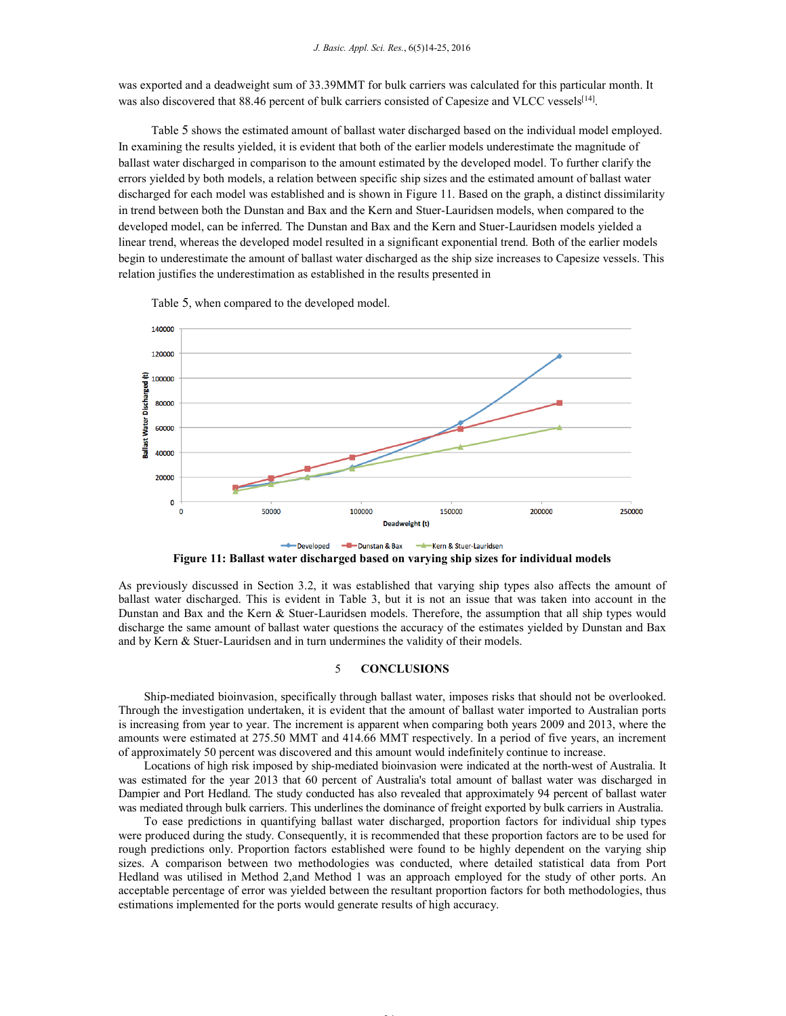was exported and a deadweight sum of 33.39MMT for bulk carriers was calculated for this particular month. It was also discovered that 88.46 percent of bulk carriers consisted of Capesize and VLCC vessels<sup>[14]</sup>.

Table 5 shows the estimated amount of ballast water discharged based on the individual model employed. In examining the results yielded, it is evident that both of the earlier models underestimate the magnitude of ballast water discharged in comparison to the amount estimated by the developed model. To further clarify the errors yielded by both models, a relation between specific ship sizes and the estimated amount of ballast water discharged for each model was established and is shown in Figure 11. Based on the graph, a distinct dissimilarity in trend between both the Dunstan and Bax and the Kern and Stuer-Lauridsen models, when compared to the developed model, can be inferred. The Dunstan and Bax and the Kern and Stuer-Lauridsen models yielded a linear trend, whereas the developed model resulted in a significant exponential trend. Both of the earlier models begin to underestimate the amount of ballast water discharged as the ship size increases to Capesize vessels. This relation justifies the underestimation as established in the results presented in



Table 5, when compared to the developed model.

**Figure 11: Ballast water discharged based on varying ship sizes for individual models** 

As previously discussed in Section 3.2, it was established that varying ship types also affects the amount of ballast water discharged. This is evident in Table 3, but it is not an issue that was taken into account in the Dunstan and Bax and the Kern & Stuer-Lauridsen models. Therefore, the assumption that all ship types would discharge the same amount of ballast water questions the accuracy of the estimates yielded by Dunstan and Bax and by Kern & Stuer-Lauridsen and in turn undermines the validity of their models.

### 5 **CONCLUSIONS**

Ship-mediated bioinvasion, specifically through ballast water, imposes risks that should not be overlooked. Through the investigation undertaken, it is evident that the amount of ballast water imported to Australian ports is increasing from year to year. The increment is apparent when comparing both years 2009 and 2013, where the amounts were estimated at 275.50 MMT and 414.66 MMT respectively. In a period of five years, an increment of approximately 50 percent was discovered and this amount would indefinitely continue to increase.

Locations of high risk imposed by ship-mediated bioinvasion were indicated at the north-west of Australia. It was estimated for the year 2013 that 60 percent of Australia's total amount of ballast water was discharged in Dampier and Port Hedland. The study conducted has also revealed that approximately 94 percent of ballast water was mediated through bulk carriers. This underlines the dominance of freight exported by bulk carriers in Australia.

To ease predictions in quantifying ballast water discharged, proportion factors for individual ship types were produced during the study. Consequently, it is recommended that these proportion factors are to be used for rough predictions only. Proportion factors established were found to be highly dependent on the varying ship sizes. A comparison between two methodologies was conducted, where detailed statistical data from Port Hedland was utilised in Method 2,and Method 1 was an approach employed for the study of other ports. An acceptable percentage of error was yielded between the resultant proportion factors for both methodologies, thus estimations implemented for the ports would generate results of high accuracy.

24